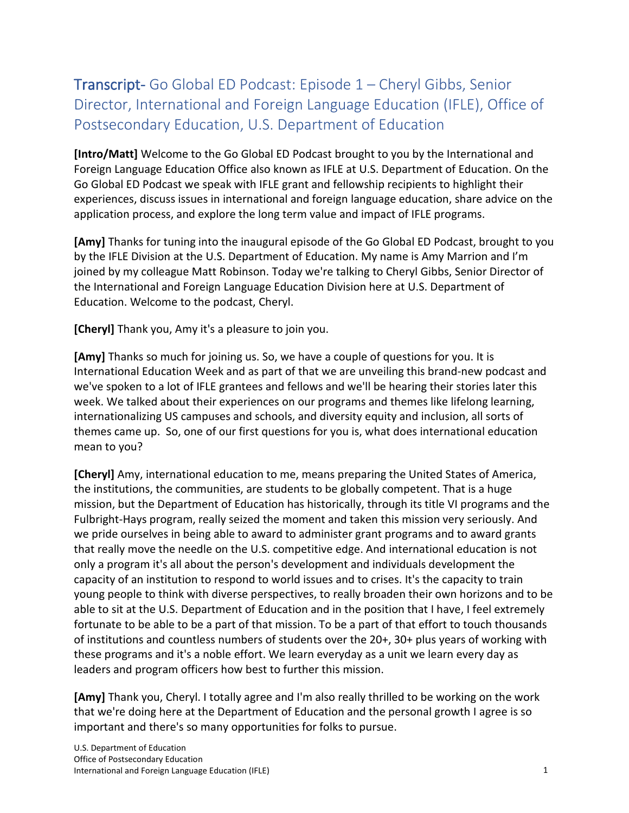## Transcript- Go Global ED Podcast: Episode 1 – Cheryl Gibbs, Senior Director, International and Foreign Language Education (IFLE), Office of Postsecondary Education, U.S. Department of Education

**[Intro/Matt]** Welcome to the Go Global ED Podcast brought to you by the International and Foreign Language Education Office also known as IFLE at U.S. Department of Education. On the Go Global ED Podcast we speak with IFLE grant and fellowship recipients to highlight their experiences, discuss issues in international and foreign language education, share advice on the application process, and explore the long term value and impact of IFLE programs.

**[Amy]** Thanks for tuning into the inaugural episode of the Go Global ED Podcast, brought to you by the IFLE Division at the U.S. Department of Education. My name is Amy Marrion and I'm joined by my colleague Matt Robinson. Today we're talking to Cheryl Gibbs, Senior Director of the International and Foreign Language Education Division here at U.S. Department of Education. Welcome to the podcast, Cheryl.

**[Cheryl]** Thank you, Amy it's a pleasure to join you.

**[Amy]** Thanks so much for joining us. So, we have a couple of questions for you. It is International Education Week and as part of that we are unveiling this brand-new podcast and we've spoken to a lot of IFLE grantees and fellows and we'll be hearing their stories later this week. We talked about their experiences on our programs and themes like lifelong learning, internationalizing US campuses and schools, and diversity equity and inclusion, all sorts of themes came up. So, one of our first questions for you is, what does international education mean to you?

**[Cheryl]** Amy, international education to me, means preparing the United States of America, the institutions, the communities, are students to be globally competent. That is a huge mission, but the Department of Education has historically, through its title VI programs and the Fulbright-Hays program, really seized the moment and taken this mission very seriously. And we pride ourselves in being able to award to administer grant programs and to award grants that really move the needle on the U.S. competitive edge. And international education is not only a program it's all about the person's development and individuals development the capacity of an institution to respond to world issues and to crises. It's the capacity to train young people to think with diverse perspectives, to really broaden their own horizons and to be able to sit at the U.S. Department of Education and in the position that I have, I feel extremely fortunate to be able to be a part of that mission. To be a part of that effort to touch thousands of institutions and countless numbers of students over the 20+, 30+ plus years of working with these programs and it's a noble effort. We learn everyday as a unit we learn every day as leaders and program officers how best to further this mission.

**[Amy]** Thank you, Cheryl. I totally agree and I'm also really thrilled to be working on the work that we're doing here at the Department of Education and the personal growth I agree is so important and there's so many opportunities for folks to pursue.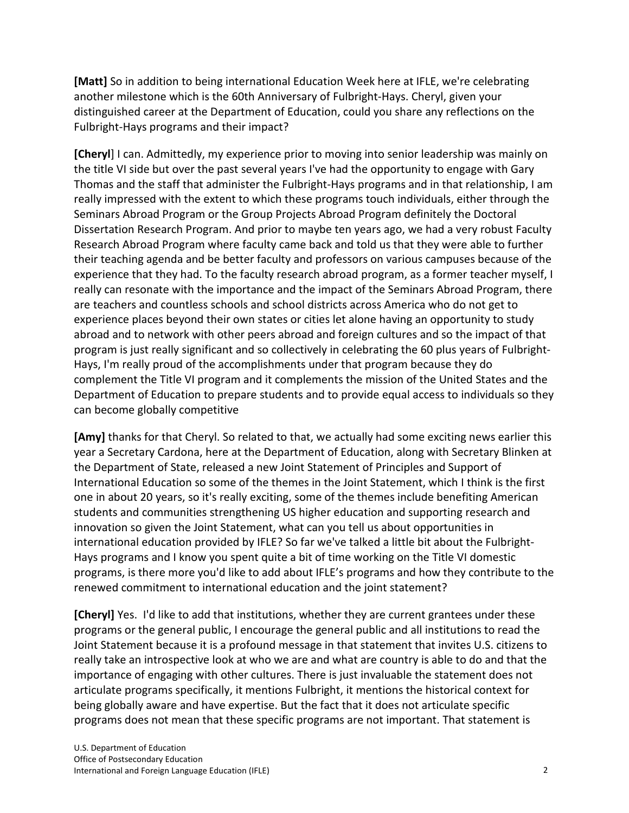**[Matt]** So in addition to being international Education Week here at IFLE, we're celebrating another milestone which is the 60th Anniversary of Fulbright-Hays. Cheryl, given your distinguished career at the Department of Education, could you share any reflections on the Fulbright-Hays programs and their impact?

**[Cheryl**] I can. Admittedly, my experience prior to moving into senior leadership was mainly on the title VI side but over the past several years I've had the opportunity to engage with Gary Thomas and the staff that administer the Fulbright-Hays programs and in that relationship, I am really impressed with the extent to which these programs touch individuals, either through the Seminars Abroad Program or the Group Projects Abroad Program definitely the Doctoral Dissertation Research Program. And prior to maybe ten years ago, we had a very robust Faculty Research Abroad Program where faculty came back and told us that they were able to further their teaching agenda and be better faculty and professors on various campuses because of the experience that they had. To the faculty research abroad program, as a former teacher myself, I really can resonate with the importance and the impact of the Seminars Abroad Program, there are teachers and countless schools and school districts across America who do not get to experience places beyond their own states or cities let alone having an opportunity to study abroad and to network with other peers abroad and foreign cultures and so the impact of that program is just really significant and so collectively in celebrating the 60 plus years of Fulbright-Hays, I'm really proud of the accomplishments under that program because they do complement the Title VI program and it complements the mission of the United States and the Department of Education to prepare students and to provide equal access to individuals so they can become globally competitive

**[Amy]** thanks for that Cheryl. So related to that, we actually had some exciting news earlier this year a Secretary Cardona, here at the Department of Education, along with Secretary Blinken at the Department of State, released a new Joint Statement of Principles and Support of International Education so some of the themes in the Joint Statement, which I think is the first one in about 20 years, so it's really exciting, some of the themes include benefiting American students and communities strengthening US higher education and supporting research and innovation so given the Joint Statement, what can you tell us about opportunities in international education provided by IFLE? So far we've talked a little bit about the Fulbright-Hays programs and I know you spent quite a bit of time working on the Title VI domestic programs, is there more you'd like to add about IFLE's programs and how they contribute to the renewed commitment to international education and the joint statement?

**[Cheryl]** Yes. I'd like to add that institutions, whether they are current grantees under these programs or the general public, I encourage the general public and all institutions to read the Joint Statement because it is a profound message in that statement that invites U.S. citizens to really take an introspective look at who we are and what are country is able to do and that the importance of engaging with other cultures. There is just invaluable the statement does not articulate programs specifically, it mentions Fulbright, it mentions the historical context for being globally aware and have expertise. But the fact that it does not articulate specific programs does not mean that these specific programs are not important. That statement is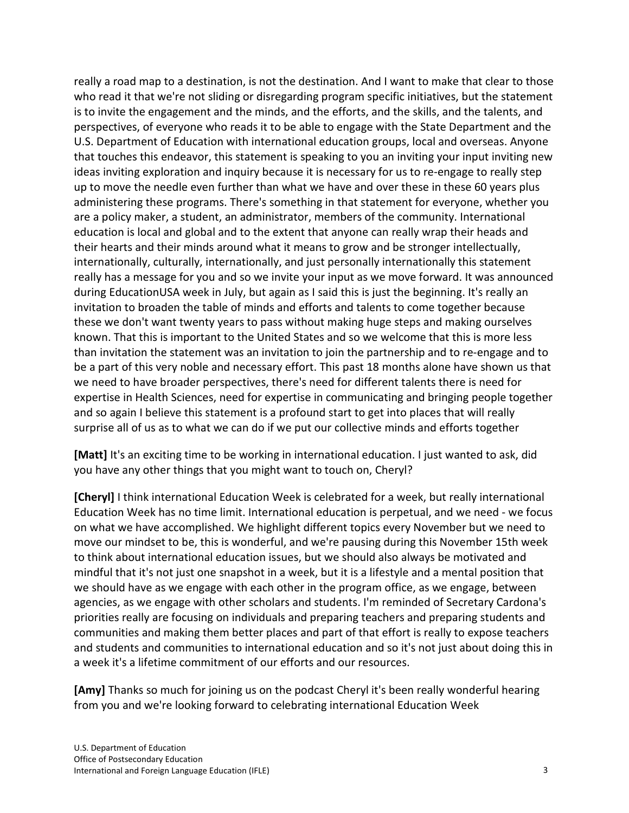really a road map to a destination, is not the destination. And I want to make that clear to those who read it that we're not sliding or disregarding program specific initiatives, but the statement is to invite the engagement and the minds, and the efforts, and the skills, and the talents, and perspectives, of everyone who reads it to be able to engage with the State Department and the U.S. Department of Education with international education groups, local and overseas. Anyone that touches this endeavor, this statement is speaking to you an inviting your input inviting new ideas inviting exploration and inquiry because it is necessary for us to re-engage to really step up to move the needle even further than what we have and over these in these 60 years plus administering these programs. There's something in that statement for everyone, whether you are a policy maker, a student, an administrator, members of the community. International education is local and global and to the extent that anyone can really wrap their heads and their hearts and their minds around what it means to grow and be stronger intellectually, internationally, culturally, internationally, and just personally internationally this statement really has a message for you and so we invite your input as we move forward. It was announced during EducationUSA week in July, but again as I said this is just the beginning. It's really an invitation to broaden the table of minds and efforts and talents to come together because these we don't want twenty years to pass without making huge steps and making ourselves known. That this is important to the United States and so we welcome that this is more less than invitation the statement was an invitation to join the partnership and to re-engage and to be a part of this very noble and necessary effort. This past 18 months alone have shown us that we need to have broader perspectives, there's need for different talents there is need for expertise in Health Sciences, need for expertise in communicating and bringing people together and so again I believe this statement is a profound start to get into places that will really surprise all of us as to what we can do if we put our collective minds and efforts together

**[Matt]** It's an exciting time to be working in international education. I just wanted to ask, did you have any other things that you might want to touch on, Cheryl?

**[Cheryl]** I think international Education Week is celebrated for a week, but really international Education Week has no time limit. International education is perpetual, and we need - we focus on what we have accomplished. We highlight different topics every November but we need to move our mindset to be, this is wonderful, and we're pausing during this November 15th week to think about international education issues, but we should also always be motivated and mindful that it's not just one snapshot in a week, but it is a lifestyle and a mental position that we should have as we engage with each other in the program office, as we engage, between agencies, as we engage with other scholars and students. I'm reminded of Secretary Cardona's priorities really are focusing on individuals and preparing teachers and preparing students and communities and making them better places and part of that effort is really to expose teachers and students and communities to international education and so it's not just about doing this in a week it's a lifetime commitment of our efforts and our resources.

**[Amy]** Thanks so much for joining us on the podcast Cheryl it's been really wonderful hearing from you and we're looking forward to celebrating international Education Week